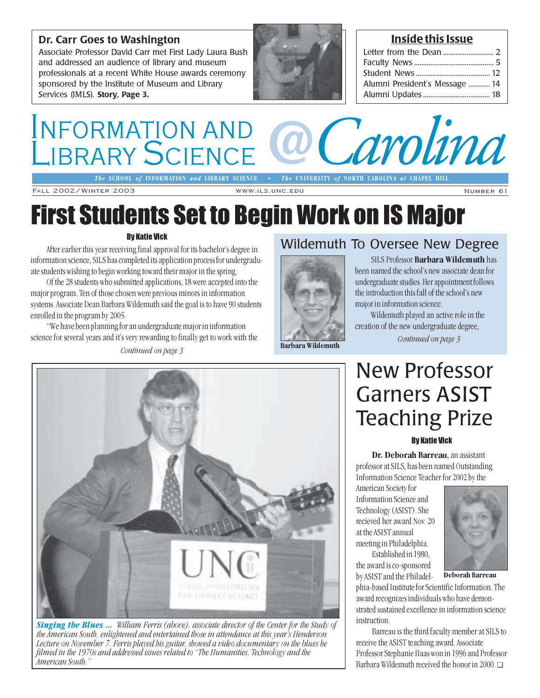## Dr. Carr Goes to Washington

Associate Professor David Carr met First Lady Laura Bush and addressed an audience of library and museum professionals at a recent White House awards ceremony sponsored by the Institute of Museum and Library Services (IMLS). Story, Page 3.



## Inside this Issue

| Alumni President's Message  14 |  |
|--------------------------------|--|
|                                |  |
|                                |  |

## INFORMATION AND LIBRARY SCIENCE COMPOSITY of NORTH CAROLIA AT CHAPEL HILL **LIBRARY SCIENCE** *@* The UNIVERSITY of NORTH CAROLINA at CHAPEL HILL

The SCHOOL of INFORMATION and LIBRARY SCIENCE

Fall 2002/Winter 2003 www.ils.unc.edu Number 61

# First Students Set to Begin Work on IS Major

### By Katie Vick

After earlier this year receiving final approval for its bachelor's degree in information science, SILS has completed its application process for undergraduate students wishing to begin working toward their major in the spring.

Of the 28 students who submitted applications, 18 were accepted into the major program. Ten of those chosen were previous minors in information systems. Associate Dean Barbara Wildemuth said the goal is to have 90 students enrolled in the program by 2005.

"We have been planning for an undergraduate major in information science for several years and it's very rewarding to finally get to work with the

### Continued on page 3

## Wildemuth To Oversee New Degree



SILS Professor Barbara Wildemuth has been named the school's new associate dean for undergraduate studies. Her appointment follows the introduction this fall of the school's new major in information science.

Wildemuth played an active role in the creation of the new undergraduate degree,

Continued on page 3

# New Professor Garners ASIST Teaching Prize

### By Katie Vick

Dr. Deborah Barreau, an assistant professor at SILS, has been named Outstanding Information Science Teacher for 2002 by the

American Society for Information Science and Technology (ASIST). She recieved her award Nov. 20 at the ASIST annual meeting in Philadelphia.

Established in 1980, the award is co-sponsored by ASIST and the Philadel-



Deborah Barreau

phia-based Institute for Scientific Information. The award recognizes individuals who have demonstrated sustained excellence in information science instruction.

Barreau is the third faculty member at SILS to receive the ASIST teaching award. Associate Professor Stephanie Haas won in 1996 and Professor Barbara Wildemuth received the honor in 2000. ❑



**Singing the Blues ...** William Ferris (above), associate director of the Center for the Study of the American South, enlightened and entertained those in attendance at this year's Henderson Lecture on November 7. Ferris played his guitar, showed a video documentary on the blues he filmed in the 1970s and addressed issues related to "The Humanities, Technology and the American South."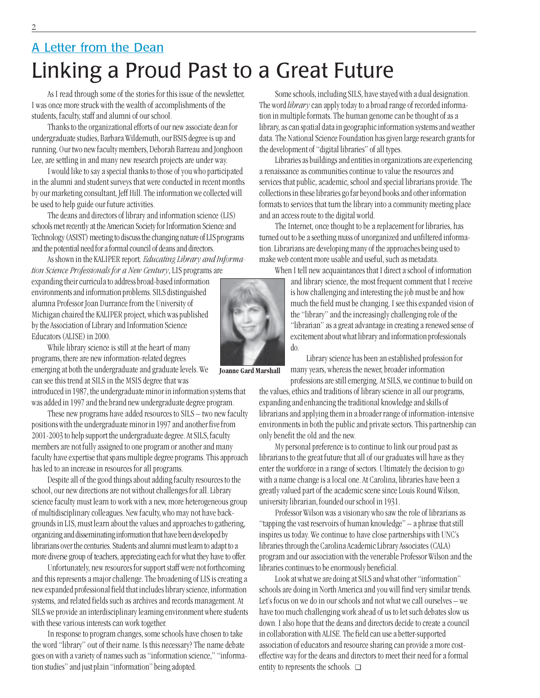# Linking a Proud Past to a Great Future A Letter from the Dean

As I read through some of the stories for this issue of the newsletter, I was once more struck with the wealth of accomplishments of the students, faculty, staff and alumni of our school.

Thanks to the organizational efforts of our new associate dean for undergraduate studies, Barbara Wildemuth, our BSIS degree is up and running. Our two new faculty members, Deborah Barreau and Jonghoon Lee, are settling in and many new research projects are under way.

I would like to say a special thanks to those of you who participated in the alumni and student surveys that were conducted in recent months by our marketing consultant, Jeff Hill. The information we collected will be used to help guide our future activities.

The deans and directors of library and information science (LIS) schools met recently at the American Society for Information Science and Technology (ASIST) meeting to discuss the changing nature of LIS programs and the potential need for a formal council of deans and directors.

As shown in the KALIPER report, *Educating Library and Informa*tion Science Professionals for a New Century, LIS programs are

expanding their curricula to address broad-based information environments and information problems. SILS distinguished alumna Professor Joan Durrance from the University of Michigan chaired the KALIPER project, which was published by the Association of Library and Information Science Educators (ALISE) in 2000.

While library science is still at the heart of many programs, there are new information-related degrees emerging at both the undergraduate and graduate levels. We can see this trend at SILS in the MSIS degree that was

introduced in 1987, the undergraduate minor in information systems that was added in 1997 and the brand new undergraduate degree program.

These new programs have added resources to SILS – two new faculty positions with the undergraduate minor in 1997 and another five from 2001-2003 to help support the undergraduate degree. At SILS, faculty members are not fully assigned to one program or another and many faculty have expertise that spans multiple degree programs. This approach has led to an increase in resources for all programs.

Despite all of the good things about adding faculty resources to the school, our new directions are not without challenges for all. Library science faculty must learn to work with a new, more heterogeneous group of multidisciplinary colleagues. New faculty, who may not have backgrounds in LIS, must learn about the values and approaches to gathering, organizing and disseminating information that have been developed by librarians over the centuries. Students and alumni must learn to adapt to a more diverse group of teachers, appreciating each for what they have to offer.

Unfortunately, new resources for support staff were not forthcoming and this represents a major challenge. The broadening of LIS is creating a new expanded professional field that includes library science, information systems, and related fields such as archives and records management. At SILS we provide an interdisciplinary learning environment where students with these various interests can work together.

In response to program changes, some schools have chosen to take the word "library" out of their name. Is this necessary? The name debate goes on with a variety of names such as "information science," "information studies" and just plain "information" being adopted.

Some schools, including SILS, have stayed with a dual designation. The word library can apply today to a broad range of recorded information in multiple formats. The human genome can be thought of as a library, as can spatial data in geographic information systems and weather data. The National Science Foundation has given large research grants for the development of "digital libraries" of all types.

Libraries as buildings and entities in organizations are experiencing a renaissance as communities continue to value the resources and services that public, academic, school and special librarians provide. The collections in these libraries go far beyond books and other information formats to services that turn the library into a community meeting place and an access route to the digital world.

The Internet, once thought to be a replacement for libraries, has turned out to be a seething mass of unorganized and unfiltered information. Librarians are developing many of the approaches being used to make web content more usable and useful, such as metadata.

When I tell new acquaintances that I direct a school of information

and library science, the most frequent comment that I receive is how challenging and interesting the job must be and how much the field must be changing. I see this expanded vision of the "library" and the increasingly challenging role of the "librarian" as a great advantage in creating a renewed sense of excitement about what library and information professionals do.

Library science has been an established profession for many years, whereas the newer, broader information professions are still emerging. At SILS, we continue to build on

the values, ethics and traditions of library science in all our programs, expanding and enhancing the traditional knowledge and skills of librarians and applying them in a broader range of information-intensive environments in both the public and private sectors. This partnership can only benefit the old and the new.

My personal preference is to continue to link our proud past as librarians to the great future that all of our graduates will have as they enter the workforce in a range of sectors. Ultimately the decision to go with a name change is a local one. At Carolina, libraries have been a greatly valued part of the academic scene since Louis Round Wilson, university librarian, founded our school in 1931.

Professor Wilson was a visionary who saw the role of librarians as "tapping the vast reservoirs of human knowledge" – a phrase that still inspires us today. We continue to have close partnerships with UNC's libraries through the Carolina Academic Library Associates (CALA) program and our association with the venerable Professor Wilson and the libraries continues to be enormously beneficial.

Look at what we are doing at SILS and what other "information" schools are doing in North America and you will find very similar trends. Let's focus on we do in our schools and not what we call ourselves – we have too much challenging work ahead of us to let such debates slow us down. I also hope that the deans and directors decide to create a council in collaboration with ALISE. The field can use a better-supported association of educators and resource sharing can provide a more costeffective way for the deans and directors to meet their need for a formal entity to represents the schools. ❑

Joanne Gard Marshall

2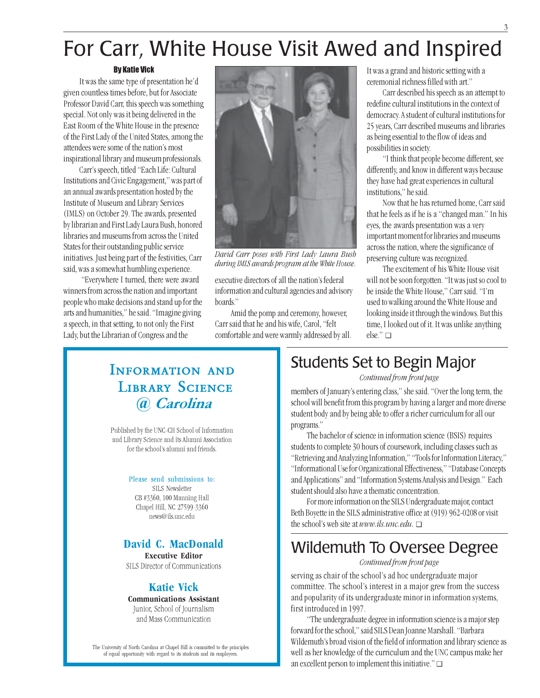# For Carr, White House Visit Awed and Inspired

### By Katie Vick

It was the same type of presentation he'd given countless times before, but for Associate Professor David Carr, this speech was something special. Not only was it being delivered in the East Room of the White House in the presence of the First Lady of the United States, among the attendees were some of the nation's most inspirational library and museum professionals.

Carr's speech, titled "Each Life: Cultural Institutions and Civic Engagement," was part of an annual awards presentation hosted by the Institute of Museum and Library Services (IMLS) on October 29. The awards, presented by librarian and First Lady Laura Bush, honored libraries and museums from across the United States for their outstanding public service initiatives. Just being part of the festivities, Carr said, was a somewhat humbling experience.

 "Everywhere I turned, there were award winners from across the nation and important people who make decisions and stand up for the arts and humanities," he said. "Imagine giving a speech, in that setting, to not only the First Lady, but the Librarian of Congress and the



David Carr poses with First Lady Laura Bush during IMLS awards program at the White House.

executive directors of all the nation's federal information and cultural agencies and advisory boards."

Amid the pomp and ceremony, however, Carr said that he and his wife, Carol, "felt comfortable and were warmly addressed by all. It was a grand and historic setting with a ceremonial richness filled with art."

Carr described his speech as an attempt to redefine cultural institutions in the context of democracy. A student of cultural institutions for 25 years, Carr described museums and libraries as being essential to the flow of ideas and possibilities in society.

"I think that people become different, see differently, and know in different ways because they have had great experiences in cultural institutions," he said.

Now that he has returned home, Carr said that he feels as if he is a "changed man." In his eyes, the awards presentation was a very important moment for libraries and museums across the nation, where the significance of preserving culture was recognized.

The excitement of his White House visit will not be soon forgotten. "It was just so cool to be inside the White House," Carr said. "I'm used to walking around the White House and looking inside it through the windows. But this time, I looked out of it. It was unlike anything else." ❑

## Information and **LIBRARY SCIENCE** *@* Carolina

Published by the UNC-CH School of Information and Library Science and its Alumni Association for the school's alumni and friends.

### Please send submissions to:

SILS Newsletter CB #3360, 100 Manning Hall Chapel Hill, NC 27599-3360 news@ils.unc.edu

## David C. MacDonald

Executive Editor SILS Director of Communications

## Katie Vick

Communications Assistant Junior, School of Journalism

and Mass Communication

The University of North Carolina at Chapel Hill is committed to the principles of equal opportunity with regard to its students and its employees.

## Students Set to Begin Major

Continued from front page

members of January's entering class," she said. "Over the long term, the school will benefit from this program by having a larger and more diverse student body and by being able to offer a richer curriculum for all our programs."

The bachelor of science in information science (BSIS) requires students to complete 30 hours of coursework, including classes such as "Retrieving and Analyzing Information," "Tools for Information Literacy," "Informational Use for Organizational Effectiveness," "Database Concepts and Applications" and "Information Systems Analysis and Design." Each student should also have a thematic concentration.

For more information on the SILS Undergraduate major, contact Beth Boyette in the SILS administrative office at (919) 962-0208 or visit the school's web site at  $www.ils.unc.edu. \Box$ 

## Wildemuth To Oversee Degree

### Continued from front page

serving as chair of the school's ad hoc undergraduate major committee. The school's interest in a major grew from the success and popularity of its undergraduate minor in information systems, first introduced in 1997.

"The undergraduate degree in information science is a major step forward for the school," said SILS Dean Joanne Marshall. "Barbara Wildemuth's broad vision of the field of information and library science as well as her knowledge of the curriculum and the UNC campus make her an excellent person to implement this initiative." ❑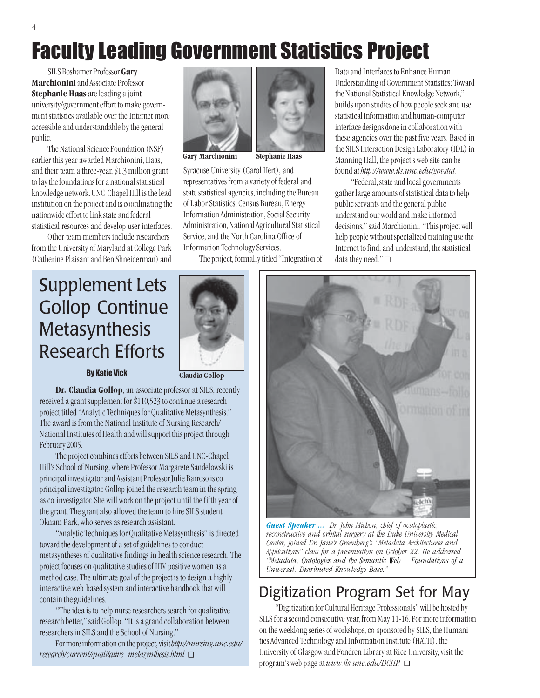# Faculty Leading Government Statistics Project

SILS Boshamer Professor Gary Marchionini and Associate Professor Stephanie Haas are leading a joint university/government effort to make government statistics available over the Internet more accessible and understandable by the general public.

The National Science Foundation (NSF) earlier this year awarded Marchionini, Haas, and their team a three-year, \$1.3 million grant to lay the foundations for a national statistical knowledge network. UNC-Chapel Hill is the lead institution on the project and is coordinating the nationwide effort to link state and federal statistical resources and develop user interfaces.

Other team members include researchers from the University of Maryland at College Park (Catherine Plaisant and Ben Shneiderman) and



Gary Marchionini Stephanie Haas

Syracuse University (Carol Hert), and representatives from a variety of federal and state statistical agencies, including the Bureau of Labor Statistics, Census Bureau, Energy Information Administration, Social Security Administration, National Agricultural Statistical Service, and the North Carolina Office of Information Technology Services.

The project, formally titled "Integration of

Data and Interfaces to Enhance Human Understanding of Government Statistics: Toward the National Statistical Knowledge Network," builds upon studies of how people seek and use statistical information and human-computer interface designs done in collaboration with these agencies over the past five years. Based in the SILS Interaction Design Laboratory (IDL) in Manning Hall, the project's web site can be found at http://www.ils.unc.edu/govstat.

"Federal, state and local governments gather large amounts of statistical data to help public servants and the general public understand our world and make informed decisions," said Marchionini. "This project will help people without specialized training use the Internet to find, and understand, the statistical data they need." ❑

# Supplement Lets Gollop Continue Metasynthesis Research Efforts



### **By Katie Vick Claudia Gollop**

Dr. Claudia Gollop, an associate professor at SILS, recently received a grant supplement for \$110,523 to continue a research project titled "Analytic Techniques for Qualitative Metasynthesis." The award is from the National Institute of Nursing Research/ National Institutes of Health and will support this project through February 2005.

The project combines efforts between SILS and UNC-Chapel Hill's School of Nursing, where Professor Margarete Sandelowski is principal investigator and Assistant Professor Julie Barroso is coprincipal investigator. Gollop joined the research team in the spring as co-investigator. She will work on the project until the fifth year of the grant. The grant also allowed the team to hire SILS student Oknam Park, who serves as research assistant.

"Analytic Techniques for Qualitative Metasynthesis" is directed toward the development of a set of guidelines to conduct metasyntheses of qualitative findings in health science research. The project focuses on qualitative studies of HIV-positive women as a method case. The ultimate goal of the project is to design a highly interactive web-based system and interactive handbook that will contain the guidelines.

"The idea is to help nurse researchers search for qualitative research better," said Gollop. "It is a grand collaboration between researchers in SILS and the School of Nursing."

For more information on the project, visit http://nursing.unc.edu/ research/current/qualitative\_metasynthesis.html ❑



Guest Speaker ... Dr. John Michon, chief of oculoplastic, reconstructive and orbital surgery at the Duke University Medical Center, joined Dr. Jane's Greenberg's "Metadata Architectures and Applications" class for a presentation on October 22. He addressed "Metadata, Ontologies and the Semantic Web -- Foundations of a Universal, Distributed Knowledge Base."

## Digitization Program Set for May

"Digitization for Cultural Heritage Professionals" will be hosted by SILS for a second consecutive year, from May 11-16. For more information on the weeklong series of workshops, co-sponsored by SILS, the Humanities Advanced Technology and Information Institute (HATII), the University of Glasgow and Fondren Library at Rice University, visit the program's web page at www.ils.unc.edu/DCHP. ❑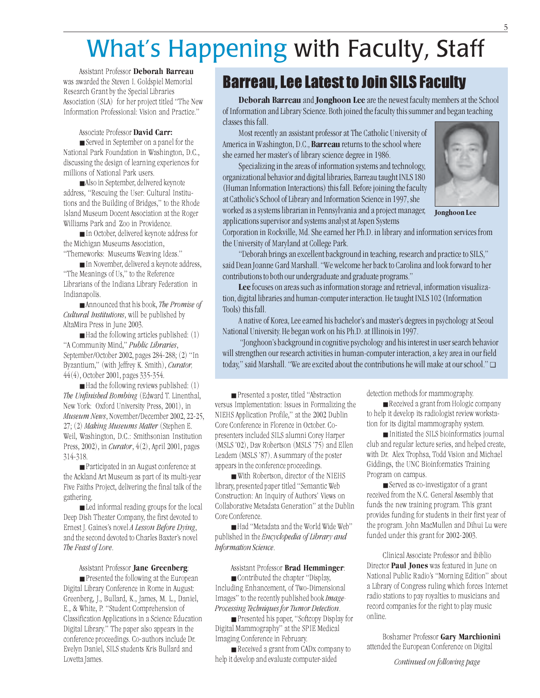# What's Happening with Faculty, Staff

Assistant Professor Deborah Barreau was awarded the Steven I. Goldspiel Memorial Research Grant by the Special Libraries Association (SLA) for her project titled "The New Information Professional: Vision and Practice."

### Associate Professor David Carr:

■ Served in September on a panel for the National Park Foundation in Washington, D.C., discussing the design of learning experiences for millions of National Park users.

■ Also in September, delivered keynote address, "Rescuing the User: Cultural Institutions and the Building of Bridges," to the Rhode Island Museum Docent Association at the Roger Williams Park and Zoo in Providence.

■ In October, delivered keynote address for the Michigan Museums Association, "Themeworks: Museums Weaving Ideas."

■ In November, delivered a keynote address, "The Meanings of Us," to the Reference Librarians of the Indiana Library Federation in Indianapolis.

■ Announced that his book, The Promise of Cultural Institutions, will be published by AltaMira Press in June 2003.

■ Had the following articles published: (1) "A Community Mind," Public Libraries, September/October 2002, pages 284-288; (2) "In Byzantium," (with Jeffrey K. Smith), Curator, 44(4), October 2001, pages 335-354.

■ Had the following reviews published: (1) The Unfinished Bombing (Edward T. Linenthal, New York: Oxford University Press, 2001), in Museum News, November/December 2002, 22-25, 27; (2) Making Museums Matter (Stephen E. Weil, Washington, D.C.: Smithsonian Institution Press, 2002), in Curator, 4(2), April 2001, pages 314-318.

■ Participated in an August conference at the Ackland Art Museum as part of its multi-year Five Faiths Project, delivering the final talk of the gathering.

■ Led informal reading groups for the local Deep Dish Theater Company, the first devoted to Ernest J. Gaines's novel A Lesson Before Dying, and the second devoted to Charles Baxter's novel The Feast of Love.

### Assistant Professor Jane Greenberg:

■ Presented the following at the European Digital Library Conference in Rome in August: Greenberg, J., Bullard, K., James, M. L., Daniel, E., & White, P. "Student Comprehension of Classification Applications in a Science Education Digital Library." The paper also appears in the conference proceedings. Co-authors include Dr. Evelyn Daniel, SILS students Kris Bullard and Lovetta James.

## Barreau, Lee Latest to Join SILS Faculty

Deborah Barreau and Jonghoon Lee are the newest faculty members at the School of Information and Library Science. Both joined the faculty this summer and began teaching classes this fall.

Most recently an assistant professor at The Catholic University of America in Washington, D.C., **Barreau** returns to the school where she earned her master's of library science degree in 1986.

Specializing in the areas of information systems and technology, organizational behavior and digital libraries, Barreau taught INLS 180 (Human Information Interactions) this fall. Before joining the faculty at Catholic's School of Library and Information Science in 1997, she worked as a systems librarian in Pennsylvania and a project manager,

applications supervisor and systems analyst at Aspen Systems



Jonghoon Lee

Corporation in Rockville, Md. She earned her Ph.D. in library and information services from the University of Maryland at College Park.

"Deborah brings an excellent background in teaching, research and practice to SILS," said Dean Joanne Gard Marshall. "We welcome her back to Carolina and look forward to her contributions to both our undergraduate and graduate programs."

Lee focuses on areas such as information storage and retrieval, information visualization, digital libraries and human-computer interaction. He taught INLS 102 (Information Tools) this fall.

A native of Korea, Lee earned his bachelor's and master's degrees in psychology at Seoul National University. He began work on his Ph.D. at Illinois in 1997.

 "Jonghoon's background in cognitive psychology and his interest in user search behavior will strengthen our research activities in human-computer interaction, a key area in our field today," said Marshall. "We are excited about the contributions he will make at our school." ❑

■ Presented a poster, titled "Abstraction versus Implementation: Issues in Formalizing the NIEHS Application Profile," at the 2002 Dublin Core Conference in Florence in October. Copresenters included SILS alumni Corey Harper (MSLS '02), Dav Robertson (MSLS '75) and Ellen Leadem (MSLS '87). A summary of the poster appears in the conference proceedings.

■ With Robertson, director of the NIEHS library, presented paper titled "Semantic Web Construction: An Inquiry of Authors' Views on Collaborative Metadata Generation" at the Dublin Core Conference.

■ Had "Metadata and the World Wide Web" published in the Encyclopedia of Library and Information Science.

### Assistant Professor Brad Hemminger:

■ Contributed the chapter "Display, Including Enhancement, of Two-Dimensional Images" to the recently published book Image-Processing Techniques for Tumor Detection.

■ Presented his paper, "Softcopy Display for Digital Mammography" at the SPIE Medical Imaging Conference in February.

■ Received a grant from CAD<sub>x</sub> company to help it develop and evaluate computer-aided

detection methods for mammography.

■ Received a grant from Hologic company to help it develop its radiologist review workstation for its digital mammography system.

■ Initiated the SILS bioinformatics journal club and regular lecture series, and helped create, with Dr. Alex Trophsa, Todd Vision and Michael Giddings, the UNC Bioinformatics Training Program on campus.

■ Served as co-investigator of a grant received from the N.C. General Assembly that funds the new training program. This grant provides funding for students in their first year of the program. John MacMullen and Dihui Lu were funded under this grant for 2002-2003.

Clinical Associate Professor and ibiblio Director **Paul Jones** was featured in June on National Public Radio's "Morning Edition" about a Library of Congress ruling which forces Internet radio stations to pay royalties to musicians and record companies for the right to play music online.

Boshamer Professor Gary Marchionini attended the European Conference on Digital

#### 5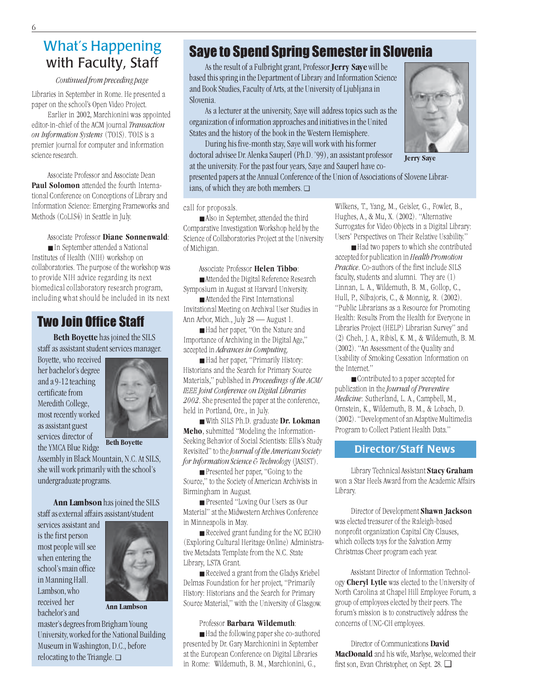## What's Happening with Faculty, Staff

### Continued from preceding page

Libraries in September in Rome. He presented a paper on the school's Open Video Project.

Earlier in 2002, Marchionini was appointed editor-in-chief of the ACM journal Transaction on Information Systems (TOIS). TOIS is a premier journal for computer and information science research.

Associate Professor and Associate Dean Paul Solomon attended the fourth International Conference on Conceptions of Library and Information Science: Emerging Frameworks and Methods (CoLIS4) in Seattle in July.

Associate Professor Diane Sonnenwald:

■ In September attended a National Institutes of Health (NIH) workshop on collaboratories. The purpose of the workshop was to provide NIH advice regarding its next biomedical collaboratory research program, including what should be included in its next

## Two Join Office Staff

Beth Boyette has joined the SILS staff as assistant student services manager.

Boyette, who received her bachelor's degree and a 9-12 teaching certificate from Meredith College, most recently worked as assistant guest services director of the YMCA Blue Ridge



Beth Boyette

Assembly in Black Mountain, N.C. At SILS, she will work primarily with the school's undergraduate programs.

Ann Lambson has joined the SILS staff as external affairs assistant/student

services assistant and is the first person most people will see when entering the school's main office in Manning Hall. Lambson, who received her bachelor's and



Ann Lambson

master's degrees from Brigham Young University, worked for the National Building Museum in Washington, D.C., before relocating to the Triangle. ❑

## Saye to Spend Spring Semester in Slovenia

As the result of a Fulbright grant, Professor **Jerry Saye** will be based this spring in the Department of Library and Information Science and Book Studies, Faculty of Arts, at the University of Ljubljana in Slovenia.

As a lecturer at the university, Saye will address topics such as the organization of information approaches and initiatives in the United States and the history of the book in the Western Hemisphere.

During his five-month stay, Saye will work with his former doctoral advisee Dr. Alenka Sauperl (Ph.D. '99), an assistant professor at the university. For the past four years, Saye and Sauperl have co-

presented papers at the Annual Conference of the Union of Associations of Slovene Librarians, of which they are both members. ❑

call for proposals.

■ Also in September, attended the third Comparative Investigation Workshop held by the Science of Collaboratories Project at the University of Michigan.

### Associate Professor Helen Tibbo:

■ Attended the Digital Reference Research Symposium in August at Harvard University.

■ Attended the First International Invitational Meeting on Archival User Studies in Ann Arbor, Mich., July 28 — August 1.

■ Had her paper, "On the Nature and Importance of Archiving in the Digital Age," accepted in Advances in Computing.

■ Had her paper, "Primarily History: Historians and the Search for Primary Source Materials," published in Proceedings of the ACM/ IEEE Joint Conference on Digital Libraries 2002. She presented the paper at the conference, held in Portland, Ore., in July.

■ With SILS Ph.D. graduate Dr. Lokman Meho, submitted "Modeling the Information-Seeking Behavior of Social Scientists: Ellis's Study Revisited" to the Journal of the American Society for Information Science & Technology (JASIST).

■ Presented her paper, "Going to the Source," to the Society of American Archivists in Birmingham in August.

■ Presented "Loving Our Users as Our Material" at the Midwestern Archives Conference in Minneapolis in May.

■ Received grant funding for the NC ECHO (Exploring Cultural Heritage Online) Administrative Metadata Template from the N.C. State Library, LSTA Grant.

■ Received a grant from the Gladys Kriebel Delmas Foundation for her project, "Primarily History: Historians and the Search for Primary Source Material," with the University of Glasgow.

### Professor Barbara Wildemuth:

■ Had the following paper she co-authored presented by Dr. Gary Marchionini in September at the European Conference on Digital Libraries in Rome: Wildemuth, B. M., Marchionini, G.,

Wilkens, T., Yang, M., Geisler, G., Fowler, B., Hughes, A., & Mu, X. (2002). "Alternative Surrogates for Video Objects in a Digital Library: Users' Perspectives on Their Relative Usability."

■ Had two papers to which she contributed accepted for publication in Health Promotion Practice. Co-authors of the first include SILS faculty, students and alumni. They are (1) Linnan, L. A., Wildemuth, B. M., Gollop, C., Hull, P., Silbajoris, C., & Monnig, R. (2002). "Public Librarians as a Resource for Promoting Health: Results From the Health for Everyone in Libraries Project (HELP) Librarian Survey" and (2) Cheh, J. A., Ribisl, K. M., & Wildemuth, B. M. (2002). "An Assessment of the Quality and Usability of Smoking Cessation Information on the Internet."

■ Contributed to a paper accepted for publication in the Journal of Preventive Medicine: Sutherland, L. A., Campbell, M., Ornstein, K., Wildemuth, B. M., & Lobach, D. (2002). "Development of an Adaptive Multimedia Program to Collect Patient Health Data."

### Director/Staff News

Library Technical Assistant Stacy Graham won a Star Heels Award from the Academic Affairs Library.

Director of Development Shawn Jackson was elected treasurer of the Raleigh-based nonprofit organization Capital City Clauses, which collects toys for the Salvation Army Christmas Cheer program each year.

Assistant Director of Information Technology Cheryl Lytle was elected to the University of North Carolina at Chapel Hill Employee Forum, a group of employees elected by their peers. The forum's mission is to constructively address the concerns of UNC-CH employees.

Director of Communications David MacDonald and his wife, Marlyse, welcomed their first son, Evan Christopher, on Sept. 28. ❑



6

Jerry Saye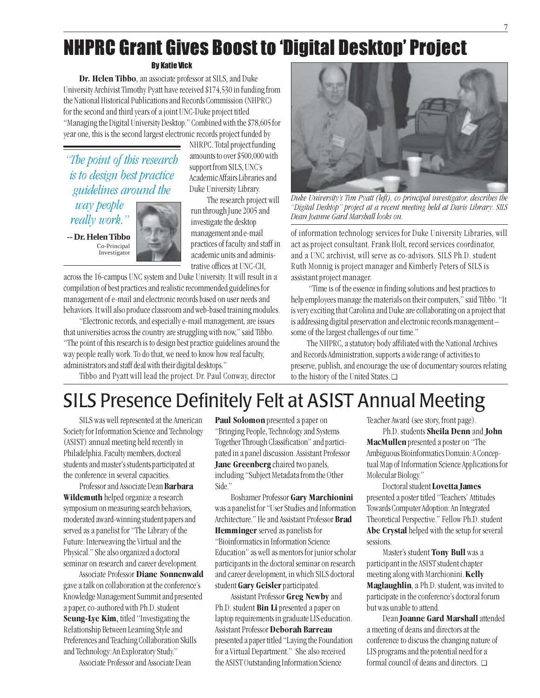# NHPRC Grant Gives Boost to 'Digital Desktop' Project

### By Katie Vick

Dr. Helen Tibbo, an associate professor at SILS, and Duke University Archivist Timothy Pyatt have received \$174,530 in funding from the National Historical Publications and Records Commission (NHPRC) for the second and third years of a joint UNC-Duke project titled "Managing the Digital University Desktop." Combined with the \$78,605 for year one, this is the second largest electronic records project funded by

"The point of this research is to design best practice guidelines around the

way people really work."

**-- Dr. Helen Tibbo** Co-Principal Investigator



NHRPC. Total project funding amounts to over \$500,000 with support from SILS, UNC's Academic Affairs Libraries and Duke University Library.

The research project will run through June 2005 and investigate the desktop management and e-mail practices of faculty and staff in academic units and administrative offices at UNC-CH,

across the 16-campus UNC system and Duke University. It will result in a compilation of best practices and realistic recommended guidelines for management of e-mail and electronic records based on user needs and behaviors. It will also produce classroom and web-based training modules.

"Electronic records, and especially e-mail management, are issues that universities across the country are struggling with now," said Tibbo. "The point of this research is to design best practice guidelines around the way people really work. To do that, we need to know how real faculty, administrators and staff deal with their digital desktops."

Tibbo and Pyatt will lead the project. Dr. Paul Conway, director



Duke University's Tim Pyatt (left), co-principal investigator, describes the "Digital Desktop" project at a recent meeting held at Davis Library. SILS Dean Joanne Gard Marshall looks on.

of information technology services for Duke University Libraries, will act as project consultant. Frank Holt, record services coordinator, and a UNC archivist, will serve as co-advisors. SILS Ph.D. student Ruth Monnig is project manager and Kimberly Peters of SILS is assistant project manager.

 "Time is of the essence in finding solutions and best practices to help employees manage the materials on their computers," said Tibbo. "It is very exciting that Carolina and Duke are collaborating on a project that is addressing digital preservation and electronic records management – some of the largest challenges of our time."

The NHPRC, a statutory body affiliated with the National Archives and Records Administration, supports a wide range of activities to preserve, publish, and encourage the use of documentary sources relating to the history of the United States. ❑

# SILS Presence Definitely Felt at ASIST Annual Meeting

SILS was well represented at the American Society for Information Science and Technology (ASIST) annual meeting held recently in Philadelphia. Faculty members, doctoral students and master's students participated at the conference in several capacities.

Professor and Associate Dean Barbara Wildemuth helped organize a research symposium on measuring search behaviors, moderated award-winning student papers and served as a panelist for "The Library of the Future: Interweaving the Virtual and the Physical." She also organized a doctoral seminar on research and career development.

Associate Professor Diane Sonnenwald gave a talk on collaboration at the conference's Knowledge Management Summit and presented a paper, co-authored with Ph.D. student Seung-Lye Kim, titled "Investigating the Relationship Between Learning Style and Preferences and Teaching Collaboration Skills and Technology: An Exploratory Study."

Associate Professor and Associate Dean

Paul Solomon presented a paper on "Bringing People, Technology and Systems Together Through Classification" and participated in a panel discussion. Assistant Professor Jane Greenberg chaired two panels, including "Subject Metadata from the Other Side."

Boshamer Professor Gary Marchionini was a panelist for "User Studies and Information Architecture." He and Assistant Professor Brad Hemminger served as panelists for "Bioinformatics in Information Science Education" as well as mentors for junior scholar participants in the doctoral seminar on research and career development, in which SILS doctoral student Gary Geisler participated.

Assistant Professor Greg Newby and Ph.D. student **Bin Li** presented a paper on laptop requirements in graduate LIS education. Assistant Professor Deborah Barreau presented a paper titled "Laying the Foundation for a Virtual Department." She also received the ASIST Outstanding Information Science

Teacher Award (see story, front page).

Ph.D. students Sheila Denn and John MacMullen presented a poster on "The Ambiguous Bioinformatics Domain: A Conceptual Map of Information Science Applications for Molecular Biology."

Doctoral student Lovetta James presented a poster titled "Teachers' Attitudes Towards Computer Adoption: An Integrated Theoretical Perspective." Fellow Ph.D. student Abe Crystal helped with the setup for several sessions.

Master's student Tony Bull was a participant in the ASIST student chapter meeting along with Marchionini. Kelly Maglaughlin, a Ph.D. student, was invited to participate in the conference's doctoral forum but was unable to attend.

Dean Joanne Gard Marshall attended a meeting of deans and directors at the conference to discuss the changing nature of LIS programs and the potential need for a formal council of deans and directors. ❑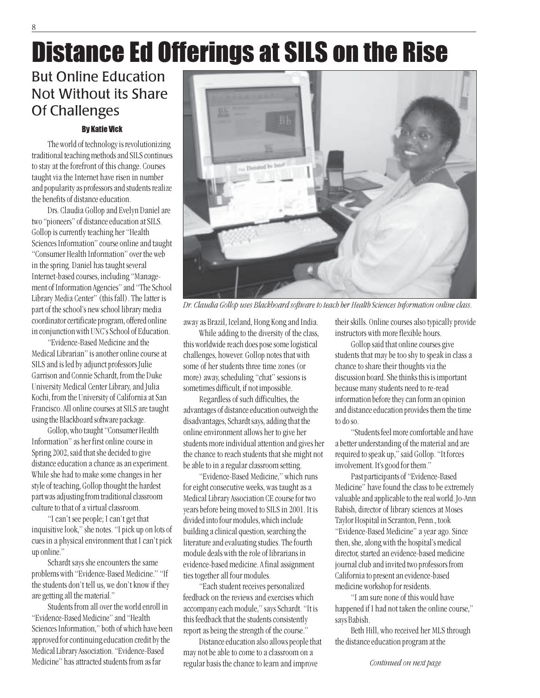# Distance Ed Offerings at SILS on the Rise

## But Online Education Not Without its Share Of Challenges

### By Katie Vick

The world of technology is revolutionizing traditional teaching methods and SILS continues to stay at the forefront of this change. Courses taught via the Internet have risen in number and popularity as professors and students realize the benefits of distance education.

Drs. Claudia Gollop and Evelyn Daniel are two "pioneers" of distance education at SILS. Gollop is currently teaching her "Health Sciences Information" course online and taught "Consumer Health Information" over the web in the spring. Daniel has taught several Internet-based courses, including "Management of Information Agencies" and "The School Library Media Center" (this fall). The latter is part of the school's new school library media coordinator certificate program, offered online in conjunction with UNC's School of Education.

"Evidence-Based Medicine and the Medical Librarian" is another online course at SILS and is led by adjunct professors Julie Garrison and Connie Schardt, from the Duke University Medical Center Library, and Julia Kochi, from the University of California at San Francisco. All online courses at SILS are taught using the Blackboard software package.

Gollop, who taught "Consumer Health Information" as her first online course in Spring 2002, said that she decided to give distance education a chance as an experiment. While she had to make some changes in her style of teaching, Gollop thought the hardest part was adjusting from traditional classroom culture to that of a virtual classroom.

"I can't see people; I can't get that inquisitive look," she notes. "I pick up on lots of cues in a physical environment that I can't pick up online."

Schardt says she encounters the same problems with "Evidence-Based Medicine." "If the students don't tell us, we don't know if they are getting all the material."

Students from all over the world enroll in "Evidence-Based Medicine" and "Health Sciences Information," both of which have been approved for continuing education credit by the Medical Library Association. "Evidence-Based Medicine" has attracted students from as far



Dr. Claudia Gollop uses Blackboard software to teach her Health Sciences Information online class.

away as Brazil, Iceland, Hong Kong and India.

While adding to the diversity of the class, this worldwide reach does pose some logistical challenges, however. Gollop notes that with some of her students three time zones (or more) away, scheduling "chat" sessions is sometimes difficult, if not impossible.

Regardless of such difficulties, the advantages of distance education outweigh the disadvantages, Schardt says, adding that the online environment allows her to give her students more individual attention and gives her the chance to reach students that she might not be able to in a regular classroom setting.

"Evidence-Based Medicine," which runs for eight consecutive weeks, was taught as a Medical Library Association CE course for two years before being moved to SILS in 2001. It is divided into four modules, which include building a clinical question, searching the literature and evaluating studies. The fourth module deals with the role of librarians in evidence-based medicine. A final assignment ties together all four modules.

"Each student receives personalized feedback on the reviews and exercises which accompany each module," says Schardt. "It is this feedback that the students consistently report as being the strength of the course."

Distance education also allows people that may not be able to come to a classroom on a regular basis the chance to learn and improve

their skills. Online courses also typically provide instructors with more flexible hours.

Gollop said that online courses give students that may be too shy to speak in class a chance to share their thoughts via the discussion board. She thinks this is important because many students need to re-read information before they can form an opinion and distance education provides them the time to do so.

"Students feel more comfortable and have a better understanding of the material and are required to speak up," said Gollop. "It forces involvement. It's good for them."

Past participants of "Evidence-Based Medicine" have found the class to be extremely valuable and applicable to the real world. Jo-Ann Babish, director of library sciences at Moses Taylor Hospital in Scranton, Penn., took "Evidence-Based Medicine" a year ago. Since then, she, along with the hospital's medical director, started an evidence-based medicine journal club and invited two professors from California to present an evidence-based medicine workshop for residents.

"I am sure none of this would have happened if I had not taken the online course," says Babish.

Beth Hill, who received her MLS through the distance education program at the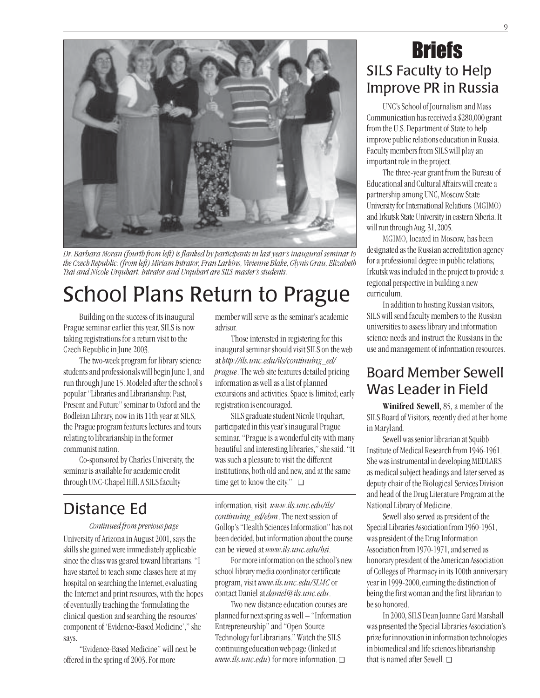

Dr. Barbara Moran (fourth from left) is flanked by participants in last year's inaugural seminar to the Czech Republic: (from left) Miriam Intrator, Fran Larkins, Vivienne Blake, Glynis Grau, Elizabeth Tsai and Nicole Urquhart. Intrator and Urquhart are SILS master's students.

# School Plans Return to Prague

Building on the success of its inaugural Prague seminar earlier this year, SILS is now taking registrations for a return visit to the Czech Republic in June 2003.

The two-week program for library science students and professionals will begin June 1, and run through June 15. Modeled after the school's popular "Libraries and Librarianship: Past, Present and Future" seminar to Oxford and the Bodleian Library, now in its 11th year at SILS, the Prague program features lectures and tours relating to librarianship in the former communist nation.

Co-sponsored by Charles University, the seminar is available for academic credit through UNC-Chapel Hill. A SILS faculty

## Distance Ed

### Continued from previous page

University of Arizona in August 2001, says the skills she gained were immediately applicable since the class was geared toward librarians. "I have started to teach some classes here at my hospital on searching the Internet, evaluating the Internet and print resources, with the hopes of eventually teaching the 'formulating the clinical question and searching the resources' component of 'Evidence-Based Medicine'," she says.

"Evidence-Based Medicine" will next be offered in the spring of 2003. For more

member will serve as the seminar's academic advisor.

Those interested in registering for this inaugural seminar should visit SILS on the web at http://ils.unc.edu/ils/continuing\_ed/ prague. The web site features detailed pricing information as well as a list of planned excursions and activities. Space is limited; early registration is encouraged.

SILS graduate student Nicole Urquhart, participated in this year's inaugural Prague seminar. "Prague is a wonderful city with many beautiful and interesting libraries," she said. "It was such a pleasure to visit the different institutions, both old and new, and at the same time get to know the city." ❑

information, visit www.ils.unc.edu/ils/ continuing ed/ebm. The next session of Gollop's "Health Sciences Information" has not been decided, but information about the course can be viewed at www.ils.unc.edu/hsi.

For more information on the school's new school library media coordinator certificate program, visit www.ils.unc.edu/SLMC or contact Daniel at daniel@ils.unc.edu.

Two new distance education courses are planned for next spring as well – "Information Entrepreneurship" and "Open-Source Technology for Librarians." Watch the SILS continuing education web page (linked at www.ils.unc.edu) for more information.  $\Box$ 

## SILS Faculty to Help Improve PR in Russia **Briefs**

UNC's School of Journalism and Mass Communication has received a \$280,000 grant from the U.S. Department of State to help improve public relations education in Russia. Faculty members from SILS will play an important role in the project.

The three-year grant from the Bureau of Educational and Cultural Affairs will create a partnership among UNC, Moscow State University for International Relations (MGIMO) and Irkutsk State University in eastern Siberia. It will run through Aug. 31, 2005.

MGIMO, located in Moscow, has been designated as the Russian accreditation agency for a professional degree in public relations; Irkutsk was included in the project to provide a regional perspective in building a new curriculum.

In addition to hosting Russian visitors, SILS will send faculty members to the Russian universities to assess library and information science needs and instruct the Russians in the use and management of information resources.

## Board Member Sewell Was Leader in Field

Winifred Sewell, 85, a member of the SILS Board of Visitors, recently died at her home in Maryland.

Sewell was senior librarian at Squibb Institute of Medical Research from 1946-1961. She was instrumental in developing MEDLARS as medical subject headings and later served as deputy chair of the Biological Services Division and head of the Drug Literature Program at the National Library of Medicine.

Sewell also served as president of the Special Libraries Association from 1960-1961, was president of the Drug Information Association from 1970-1971, and served as honorary president of the American Association of Colleges of Pharmacy in its 100th anniversary year in 1999-2000, earning the distinction of being the first woman and the first librarian to be so honored.

In 2000, SILS Dean Joanne Gard Marshall was presented the Special Libraries Association's prize for innovation in information technologies in biomedical and life sciences librarianship that is named after Sewell □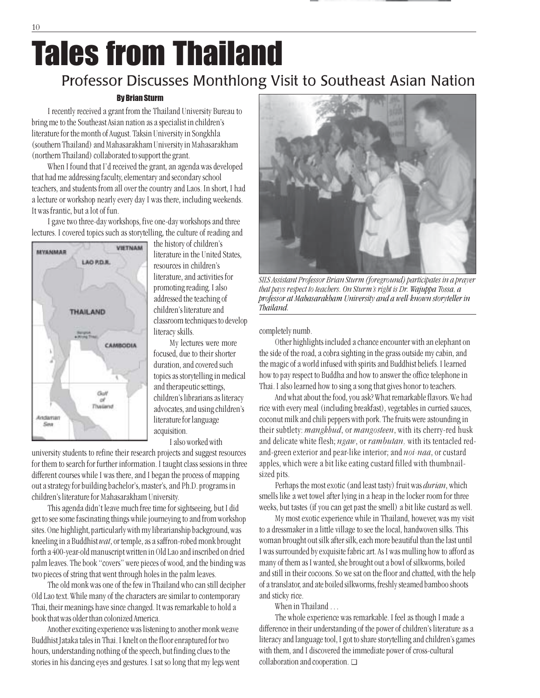# Tales from Thailand

## Professor Discusses Monthlong Visit to Southeast Asian Nation

### By Brian Sturm

I recently received a grant from the Thailand University Bureau to bring me to the Southeast Asian nation as a specialist in children's literature for the month of August. Taksin University in Songkhla (southern Thailand) and Mahasarakham University in Mahasarakham (northern Thailand) collaborated to support the grant.

When I found that I'd received the grant, an agenda was developed that had me addressing faculty, elementary and secondary school teachers, and students from all over the country and Laos. In short, I had a lecture or workshop nearly every day I was there, including weekends. It was frantic, but a lot of fun.

I gave two three-day workshops, five one-day workshops and three lectures. I covered topics such as storytelling, the culture of reading and



the history of children's literature in the United States, resources in children's literature, and activities for promoting reading. I also addressed the teaching of children's literature and classroom techniques to develop literacy skills.

My lectures were more focused, due to their shorter duration, and covered such topics as storytelling in medical and therapeutic settings, children's librarians as literacy advocates, and using children's literature for language acquisition.

I also worked with

university students to refine their research projects and suggest resources for them to search for further information. I taught class sessions in three different courses while I was there, and I began the process of mapping out a strategy for building bachelor's, master's, and Ph.D. programs in children's literature for Mahasarakham University.

This agenda didn't leave much free time for sightseeing, but I did get to see some fascinating things while journeying to and from workshop sites. One highlight, particularly with my librarianship background, was kneeling in a Buddhist wat, or temple, as a saffron-robed monk brought forth a 400-year-old manuscript written in Old Lao and inscribed on dried palm leaves. The book "covers" were pieces of wood, and the binding was two pieces of string that went through holes in the palm leaves.

The old monk was one of the few in Thailand who can still decipher Old Lao text. While many of the characters are similar to contemporary Thai, their meanings have since changed. It was remarkable to hold a book that was older than colonized America.

Another exciting experience was listening to another monk weave Buddhist Jataka tales in Thai. I knelt on the floor enraptured for two hours, understanding nothing of the speech, but finding clues to the stories in his dancing eyes and gestures. I sat so long that my legs went



SILS Assistant Professor Brian Sturm (foreground) participates in a prayer that pays respect to teachers. On Sturm's right is Dr. Wajuppa Tossa, a professor at Mahasarakham University and a well-known storyteller in Thailand.

completely numb.

Other highlights included a chance encounter with an elephant on the side of the road, a cobra sighting in the grass outside my cabin, and the magic of a world infused with spirits and Buddhist beliefs. I learned how to pay respect to Buddha and how to answer the office telephone in Thai. I also learned how to sing a song that gives honor to teachers.

And what about the food, you ask? What remarkable flavors. We had rice with every meal (including breakfast), vegetables in curried sauces, coconut milk and chili peppers with pork. The fruits were astounding in their subtlety: mangkhud, or mangosteen, with its cherry-red husk and delicate white flesh; ngaw, or rambutan, with its tentacled redand-green exterior and pear-like interior; and noi-naa, or custard apples, which were a bit like eating custard filled with thumbnailsized pits.

Perhaps the most exotic (and least tasty) fruit was *durian*, which smells like a wet towel after lying in a heap in the locker room for three weeks, but tastes (if you can get past the smell) a bit like custard as well.

My most exotic experience while in Thailand, however, was my visit to a dressmaker in a little village to see the local, handwoven silks. This woman brought out silk after silk, each more beautiful than the last until I was surrounded by exquisite fabric art. As I was mulling how to afford as many of them as I wanted, she brought out a bowl of silkworms, boiled and still in their cocoons. So we sat on the floor and chatted, with the help of a translator, and ate boiled silkworms, freshly steamed bamboo shoots and sticky rice.

When in Thailand …

The whole experience was remarkable. I feel as though I made a difference in their understanding of the power of children's literature as a literacy and language tool, I got to share storytelling and children's games with them, and I discovered the immediate power of cross-cultural collaboration and cooperation. ❑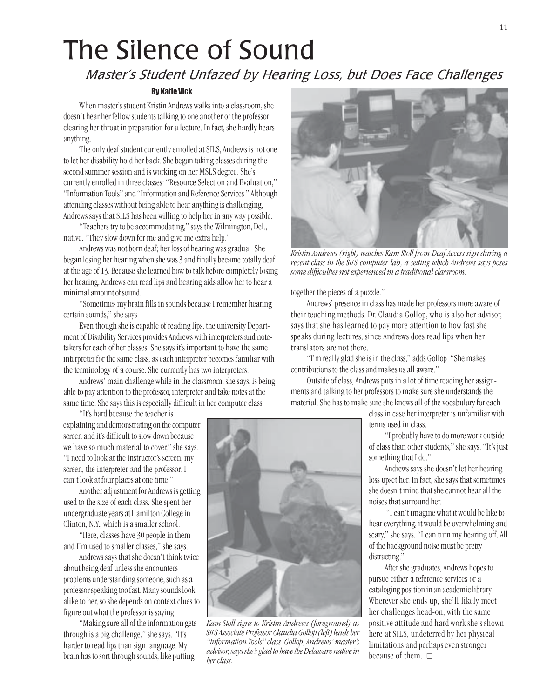# The Silence of Sound

## Master's Student Unfazed by Hearing Loss, but Does Face Challenges

### By Katie Vick

When master's student Kristin Andrews walks into a classroom, she doesn't hear her fellow students talking to one another or the professor clearing her throat in preparation for a lecture. In fact, she hardly hears anything.

The only deaf student currently enrolled at SILS, Andrews is not one to let her disability hold her back. She began taking classes during the second summer session and is working on her MSLS degree. She's currently enrolled in three classes: "Resource Selection and Evaluation," "Information Tools" and "Information and Reference Services." Although attending classes without being able to hear anything is challenging, Andrews says that SILS has been willing to help her in any way possible.

"Teachers try to be accommodating," says the Wilmington, Del., native. "They slow down for me and give me extra help."

Andrews was not born deaf; her loss of hearing was gradual. She began losing her hearing when she was 3 and finally became totally deaf at the age of 13. Because she learned how to talk before completely losing her hearing, Andrews can read lips and hearing aids allow her to hear a minimal amount of sound.

"Sometimes my brain fills in sounds because I remember hearing certain sounds," she says.

Even though she is capable of reading lips, the university Department of Disability Services provides Andrews with interpreters and notetakers for each of her classes. She says it's important to have the same interpreter for the same class, as each interpreter becomes familiar with the terminology of a course. She currently has two interpreters.

Andrews' main challenge while in the classroom, she says, is being able to pay attention to the professor, interpreter and take notes at the same time. She says this is especially difficult in her computer class.

"It's hard because the teacher is

explaining and demonstrating on the computer screen and it's difficult to slow down because we have so much material to cover," she says. "I need to look at the instructor's screen, my screen, the interpreter and the professor. I can't look at four places at one time."

Another adjustment for Andrews is getting used to the size of each class. She spent her undergraduate years at Hamilton College in Clinton, N.Y., which is a smaller school.

"Here, classes have 30 people in them and I'm used to smaller classes," she says.

Andrews says that she doesn't think twice about being deaf unless she encounters problems understanding someone, such as a professor speaking too fast. Many sounds look alike to her, so she depends on context clues to figure out what the professor is saying.

"Making sure all of the information gets through is a big challenge," she says. "It's harder to read lips than sign language. My brain has to sort through sounds, like putting



Kam Stoll signs to Kristin Andrews (foreground) as SILS Associate Professor Claudia Gollop (left) leads her "Information Tools" class. Gollop, Andrews' master's advisor, says she's glad to have the Delaware native in her class.



Kristin Andrews (right) watches Kam Stoll from Deaf Access sign during a recent class in the SILS computer lab, a setting which Andrews says poses some difficulties not experienced in a traditional classroom.

together the pieces of a puzzle."

Andrews' presence in class has made her professors more aware of their teaching methods. Dr. Claudia Gollop, who is also her advisor, says that she has learned to pay more attention to how fast she speaks during lectures, since Andrews does read lips when her translators are not there.

"I'm really glad she is in the class," adds Gollop. "She makes contributions to the class and makes us all aware."

Outside of class, Andrews puts in a lot of time reading her assignments and talking to her professors to make sure she understands the material. She has to make sure she knows all of the vocabulary for each

> class in case her interpreter is unfamiliar with terms used in class.

"I probably have to do more work outside of class than other students," she says. "It's just something that I do."

Andrews says she doesn't let her hearing loss upset her. In fact, she says that sometimes she doesn't mind that she cannot hear all the noises that surround her.

 "I can't imagine what it would be like to hear everything; it would be overwhelming and scary," she says. "I can turn my hearing off. All of the background noise must be pretty distracting."

After she graduates, Andrews hopes to pursue either a reference services or a cataloging position in an academic library. Wherever she ends up, she'll likely meet her challenges head-on, with the same positive attitude and hard work she's shown here at SILS, undeterred by her physical limitations and perhaps even stronger because of them. ❑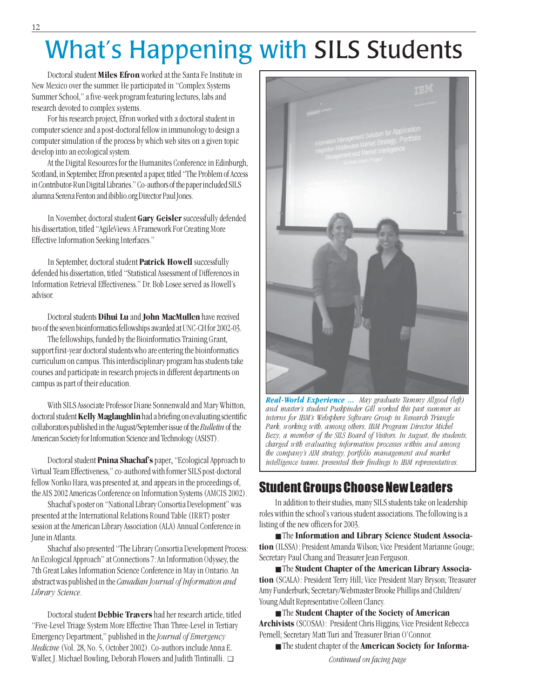# What's Happening with SILS Students

Doctoral student Miles Efron worked at the Santa Fe Institute in New Mexico over the summer. He participated in "Complex Systems Summer School," a five-week program featuring lectures, labs and research devoted to complex systems.

For his research project, Efron worked with a doctoral student in computer science and a post-doctoral fellow in immunology to design a computer simulation of the process by which web sites on a given topic develop into an ecological system.

At the Digital Resources for the Humanites Conference in Edinburgh, Scotland, in September, Efron presented a paper, titled "The Problem of Access in Contributor-Run Digital Libraries." Co-authors of the paper included SILS alumna Serena Fenton and ibiblio.org Director Paul Jones.

In November, doctoral student Gary Geisler successfully defended his dissertation, titled "AgileViews: A Framework For Creating More Effective Information Seeking Interfaces."

In September, doctoral student Patrick Howell successfully defended his dissertation, titled "Statistical Assessment of Differences in Information Retrieval Effectiveness." Dr. Bob Losee served as Howell's advisor.

Doctoral students Dihui Lu and John MacMullen have received two of the seven bioinformatics fellowships awarded at UNC-CH for 2002-03.

The fellowships, funded by the Bioinformatics Training Grant, support first-year doctoral students who are entering the bioinformatics curriculum on campus. This interdisciplinary program has students take courses and participate in research projects in different departments on campus as part of their education.

With SILS Associate Professor Diane Sonnenwald and Mary Whitton, doctoral student Kelly Maglaughlin had a briefing on evaluating scientific collaborators published in the August/September issue of the Bulletin of the American Society for Information Science and Technology (ASIST).

Doctoral student Pnina Shachaf's paper, "Ecological Approach to Virtual Team Effectiveness,"co-authored with former SILS post-doctoral fellow Noriko Hara, was presented at, and appears in the proceedings of, the AIS 2002 Americas Conference on Information Systems (AMCIS 2002).

Shachaf's poster on "National Library Consortia Development" was presented at the International Relations Round Table (IRRT) poster session at the American Library Association (ALA) Annual Conference in June in Atlanta.

Shachaf also presented "The Library Consortia Development Process: An Ecological Approach" at Connections 7: An Information Odyssey, the 7th Great Lakes Information Science Conference in May in Ontario. An abstract was published in the Canadian Journal of Information and Library Science.

Doctoral student Debbie Travers had her research article, titled "Five-Level Triage System More Effective Than Three-Level in Tertiary Emergency Department," published in the Journal of Emergency Medicine (Vol. 28, No. 5, October 2002). Co-authors include Anna E. Waller, J. Michael Bowling, Deborah Flowers and Judith Tintinalli. ❑



Real-World Experience ... May graduate Tammy Allgood (left) and master's student Pushpinder Gill worked this past summer as interns for IBM's Websphere Software Group in Research Triangle Park, working with, among others, IBM Program Director Michel Bezy, a member of the SILS Board of Visitors. In August, the students, charged with evaluating information processes within and among the company's AIM strategy, portfolio management and market intelligence teams, presented their findings to IBM representatives.

## Student Groups Choose New Leaders

In addition to their studies, many SILS students take on leadership roles within the school's various student associations. The following is a listing of the new officers for 2003.

■ The Information and Library Science Student Association (ILSSA): President Amanda Wilson; Vice President Marianne Gouge; Secretary Paul Chang and Treasurer Jean Ferguson.

■ The Student Chapter of the American Library Association (SCALA): President Terry Hill; Vice President Mary Bryson; Treasurer Amy Funderburk; Secretary/Webmaster Brooke Phillips and Children/ Young Adult Representative Colleen Clancy.

■ The Student Chapter of the Society of American Archivists (SCOSAA): President Chris Higgins; Vice President Rebecca Pernell; Secretary Matt Turi and Treasurer Brian O'Connor.

■ The student chapter of the **American Society for Informa**-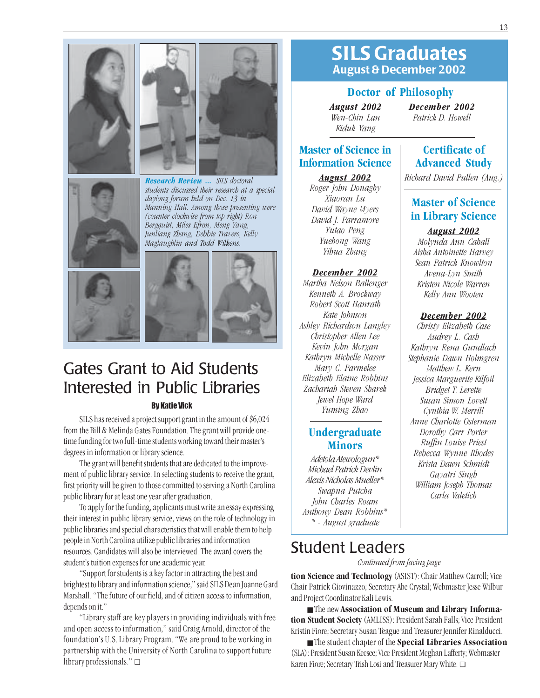



Research Review ... SILS doctoral students discussed their research at a special daylong forum held on Dec. 13 in Manning Hall. Among those presenting were (counter clockwise from top right) Ron Bergquist, Miles Efron, Meng Yang, Junliang Zhang, Debbie Travers, Kelly Maglaughlin and Todd Wilkens.





# Gates Grant to Aid Students Interested in Public Libraries

## By Katie Vick

SILS has received a project support grant in the amount of \$6,024 from the Bill & Melinda Gates Foundation. The grant will provide onetime funding for two full-time students working toward their master's degrees in information or library science.

The grant will benefit students that are dedicated to the improvement of public library service. In selecting students to receive the grant, first priority will be given to those committed to serving a North Carolina public library for at least one year after graduation.

To apply for the funding, applicants must write an essay expressing their interest in public library service, views on the role of technology in public libraries and special characteristics that will enable them to help people in North Carolina utilize public libraries and information resources. Candidates will also be interviewed. The award covers the student's tuition expenses for one academic year.

"Support for students is a key factor in attracting the best and brightest to library and information science," said SILS Dean Joanne Gard Marshall. "The future of our field, and of citizen access to information, depends on it."

"Library staff are key players in providing individuals with free and open access to information," said Craig Arnold, director of the foundation's U.S. Library Program. "We are proud to be working in partnership with the University of North Carolina to support future library professionals." ❑

## SILS Graduates August & December 2002

### Doctor of Philosophy

August 2002 Wen-Chin Lan Kiduk Yang

December 2002 Patrick D. Howell

## Master of Science in Information Science

### August 2002

Roger John Donaghy Xiaoran Lu David Wayne Myers David J. Parramore Yutao Peng Yuehong Wang Yihua Zhang

### December 2002

Martha Nelson Ballenger Kenneth A. Brockway Robert Scott Hanrath Kate Johnson Ashley Richardson Langley Christopher Allen Lee Kevin John Morgan Kathryn Michelle Nasser Mary C. Parmelee Elizabeth Elaine Robbins Zachariah Steven Sharek Jewel Hope Ward Yuming Zhao

## **Undergraduate** Minors

Adetola Atewologun\* Michael Patrick Devlin Alexis Nicholas Mueller\* Swapna Putcha John Charles Roam Anthony Dean Robbins\* \* - August graduate

## Certificate of Advanced Study

Richard David Pullen (Aug.)

## Master of Science in Library Science

August 2002

Molynda Ann Cahall Aisha Antoinette Harvey Sean Patrick Knowlton Avena-Lyn Smith Kristen Nicole Warren Kelly Ann Wooten

### December 2002

Christy Elizabeth Case Audrey L. Cash Kathryn Rena Gundlach Stephanie Dawn Holmgren Matthew L. Kern Jessica Marguerite Kilfoil Bridget T. Lerette Susan Simon Lovett Cynthia W. Merrill Anne Charlotte Osterman Dorothy Carr Porter Ruffin Louise Priest Rebecca Wynne Rhodes Krista Dawn Schmidt Gayatri Singh William Joseph Thomas Carla Valetich

## Student Leaders

Continued from facing page

tion Science and Technology (ASIST): Chair Matthew Carroll; Vice Chair Patrick Giovinazzo; Secretary Abe Crystal; Webmaster Jesse Wilbur and Project Coordinator Kali Lewis.

■ The new Association of Museum and Library Information Student Society (AMLISS): President Sarah Falls; Vice President Kristin Fiore; Secretary Susan Teague and Treasurer Jennifer Rinalducci.

■ The student chapter of the **Special Libraries Association** (SLA): President Susan Keesee; Vice President Meghan Lafferty; Webmaster Karen Fiore; Secretary Trish Losi and Treasurer Mary White. ❑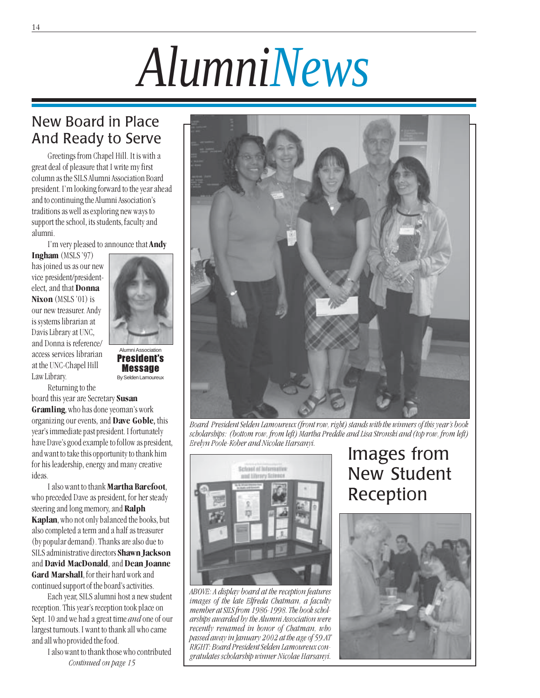# *AlumniNews*

## New Board in Place And Ready to Serve

Greetings from Chapel Hill. It is with a great deal of pleasure that I write my first column as the SILS Alumni Association Board president. I'm looking forward to the year ahead and to continuing the Alumni Association's traditions as well as exploring new ways to support the school, its students, faculty and alumni.

I'm very pleased to announce that Andy

Alumni Association President's Message By Selden Lamoureux

Ingham (MSLS '97) has joined us as our new vice president/presidentelect, and that Donna Nixon (MSLS '01) is our new treasurer. Andy is systems librarian at Davis Library at UNC, and Donna is reference/ access services librarian at the UNC-Chapel Hill Law Library.



board this year are Secretary Susan Gramling, who has done yeoman's work organizing our events, and Dave Goble, this year's immediate past president. I fortunately have Dave's good example to follow as president, and want to take this opportunity to thank him for his leadership, energy and many creative ideas.

I also want to thank Martha Barefoot, who preceded Dave as president, for her steady steering and long memory, and Ralph Kaplan, who not only balanced the books, but also completed a term and a half as treasurer (by popular demand). Thanks are also due to SILS administrative directors Shawn Jackson and David MacDonald, and Dean Joanne Gard Marshall, for their hard work and continued support of the board's activities.

Each year, SILS alumni host a new student reception. This year's reception took place on Sept. 10 and we had a great time and one of our largest turnouts. I want to thank all who came and all who provided the food.

> I also want to thank those who contributed Continued on page 15



Board President Selden Lamoureux (front row, right) stands with the winners of this year's book scholarships: (bottom row, from left) Martha Preddie and Lisa Stronski and (top row, from left) Evelyn Poole-Kober and Nicolae Harsanyi.



ABOVE: A display board at the reception features images of the late Elfreda Chatman, a faculty member at SILS from 1986-1998. The book scholarships awarded by the Alumni Association were recently renamed in honor of Chatman, who passed away in January 2002 at the age of 59.AT RIGHT: Board President Selden Lamoureux congratulates scholarship winner Nicolae Harsanyi.

## Images from New Student Reception

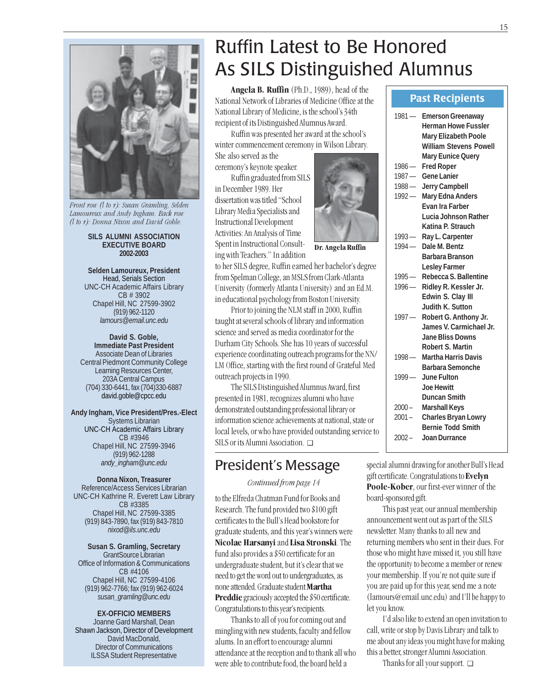

Front row  $(l$  to  $r)$ : Susan Gramling, Selden Lamoureux and Andy Ingham. Back row (l to r): Donna Nixon and David Goble.

#### **SILS ALUMNI ASSOCIATION EXECUTIVE BOARD 2002-2003**

**Selden Lamoureux, President** Head, Serials Section UNC-CH Academic Affairs Library CB # 3902 Chapel Hill, NC 27599-3902 (919) 962-1120 *lamours@email.unc.edu*

**David S. Goble, Immediate Past President** Associate Dean of Libraries Central Piedmont Community College Learning Resources Center, 203A Central Campus (704) 330-6441, fax (704)330-6887 david.goble@cpcc.edu

**Andy Ingham, Vice President/Pres.-Elect** Systems Librarian UNC-CH Academic Affairs Library CB #3946 Chapel Hill, NC 27599-3946 (919) 962-1288 *andy\_ingham@unc.edu*

### **Donna Nixon, Treasurer**

Reference/Access Services Librarian UNC-CH Kathrine R. Everett Law Library CB #3385 Chapel Hill, NC 27599-3385 (919) 843-7890, fax (919) 843-7810 *nixod@ils.unc.edu*

**Susan S. Gramling, Secretary** GrantSource Librarian Office of Information & Communications CB #4106 Chapel Hill, NC 27599-4106 (919) 962-7766; fax (919) 962-6024 *susan\_gramling@unc.edu*

**EX-OFFICIO MEMBERS** Joanne Gard Marshall, Dean Shawn Jackson, Director of Development David MacDonald, Director of Communications ILSSA Student Representative

# Ruffin Latest to Be Honored As SILS Distinguished Alumnus

Dr. Angela Ruffin

Angela B. Ruffin (Ph.D., 1989), head of the National Network of Libraries of Medicine Office at the National Library of Medicine, is the school's 34th recipient of its Distinguished Alumnus Award.

Ruffin was presented her award at the school's winter commencement ceremony in Wilson Library. She also served as the

ceremony's keynote speaker.

Ruffin graduated from SILS in December 1989. Her dissertation was titled "School Library Media Specialists and Instructional Development Activities: An Analysis of Time Spent in Instructional Consulting with Teachers."In addition

to her SILS degree, Ruffin earned her bachelor's degree from Spelman College, an MSLS from Clark-Atlanta University (formerly Atlanta University) and an Ed.M. in educational psychology from Boston University.

Prior to joining the NLM staff in 2000, Ruffin taught at several schools of library and information science and served as media coordinator for the Durham City Schools. She has 10 years of successful experience coordinating outreach programs for the NN/ LM Office, starting with the first round of Grateful Med outreach projects in 1990.

The SILS Distinguished Alumnus Award, first presented in 1981, recognizes alumni who have demonstrated outstanding professional library or information science achievements at national, state or local levels, or who have provided outstanding service to SILS or its Alumni Association. ❑

## President's Message

Continued from page 14

to the Elfreda Chatman Fund for Books and Research. The fund provided two \$100 gift certificates to the Bull's Head bookstore for graduate students, and this year's winners were Nicolae Harsanyi and Lisa Stronski. The fund also provides a \$50 certificate for an undergraduate student, but it's clear that we need to get the word out to undergraduates, as none attended. Graduate student Martha **Preddie** graciously accepted the \$50 certificate. Congratulations to this year's recipients.

Thanks to all of you for coming out and mingling with new students, faculty and fellow alums. In an effort to encourage alumni attendance at the reception and to thank all who were able to contribute food, the board held a

### Past Recipients

| $1981 -$ | <b>Emerson Greenaway</b>                          |
|----------|---------------------------------------------------|
|          | <b>Herman Howe Fussler</b>                        |
|          | <b>Mary Elizabeth Poole</b>                       |
|          | <b>William Stevens Powell</b>                     |
|          | <b>Mary Eunice Query</b>                          |
| $1986 -$ | <b>Fred Roper</b>                                 |
| $1987 -$ | <b>Gene Lanier</b>                                |
| $1988 -$ | <b>Jerry Campbell</b>                             |
| $1992 -$ |                                                   |
|          | <b>Mary Edna Anders</b><br><b>Evan Ira Farber</b> |
|          | Lucia Johnson Rather                              |
|          |                                                   |
|          | Katina P. Strauch                                 |
| $1993 -$ | Ray L. Carpenter                                  |
| $1994 -$ | Dale M. Bentz                                     |
|          | <b>Barbara Branson</b>                            |
|          | <b>Lesley Farmer</b>                              |
| $1995 -$ | Rebecca S. Ballentine                             |
| $1996 -$ | Ridley R. Kessler Jr.                             |
|          | Edwin S. Clay III                                 |
|          | Judith K. Sutton                                  |
| $1997 -$ | Robert G. Anthony Jr.                             |
|          | James V. Carmichael Jr.                           |
|          | <b>Jane Bliss Downs</b>                           |
|          | <b>Robert S. Martin</b>                           |
| $1998 -$ | <b>Martha Harris Davis</b>                        |
|          | <b>Barbara Semonche</b>                           |
| $1999-$  | June Fulton                                       |
|          | <b>Joe Hewitt</b>                                 |
|          | <b>Duncan Smith</b>                               |
| $2000 -$ | <b>Marshall Keys</b>                              |
| $2001 -$ | <b>Charles Bryan Lowry</b>                        |
|          | <b>Bernie Todd Smith</b>                          |
| $2002 -$ | Joan Durrance                                     |
|          |                                                   |

special alumni drawing for another Bull's Head gift certificate. Congratulations to Evelyn Poole-Kober, our first-ever winner of the board-sponsored gift.

This past year, our annual membership announcement went out as part of the SILS newsletter. Many thanks to all new and returning members who sent in their dues. For those who might have missed it, you still have the opportunity to become a member or renew your membership. If you're not quite sure if you are paid up for this year, send me a note (lamours@email.unc.edu) and I'll be happy to let you know.

I'd also like to extend an open invitation to call, write or stop by Davis Library and talk to me about any ideas you might have for making this a better, stronger Alumni Association.

Thanks for all your support. ❑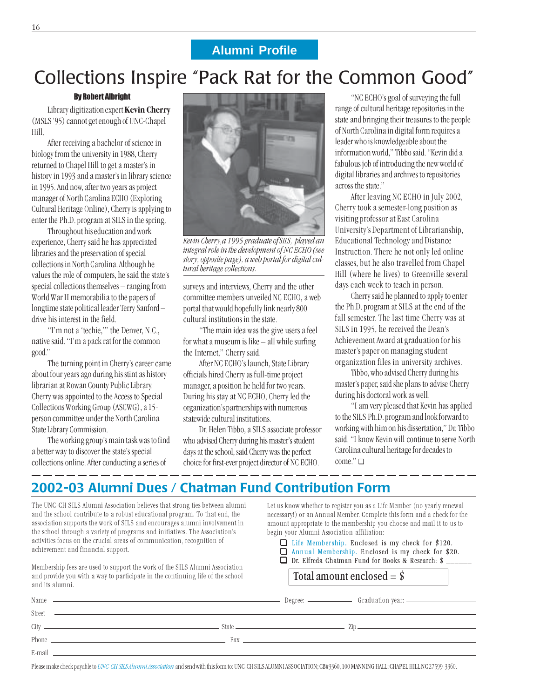## **Alumni Profile**

# Collections Inspire "Pack Rat for the Common Good"

### By Robert Albright

Library digitization expert Kevin Cherry (MSLS '95) cannot get enough of UNC-Chapel Hill.

After receiving a bachelor of science in biology from the university in 1988, Cherry returned to Chapel Hill to get a master's in history in 1993 and a master's in library science in 1995. And now, after two years as project manager of North Carolina ECHO (Exploring Cultural Heritage Online), Cherry is applying to enter the Ph.D. program at SILS in the spring.

Throughout his education and work experience, Cherry said he has appreciated libraries and the preservation of special collections in North Carolina. Although he values the role of computers, he said the state's special collections themselves – ranging from World War II memorabilia to the papers of longtime state political leader Terry Sanford – drive his interest in the field.

"I'm not a 'techie,'" the Denver, N.C., native said. "I'm a pack rat for the common good."

The turning point in Cherry's career came about four years ago during his stint as history librarian at Rowan County Public Library. Cherry was appointed to the Access to Special Collections Working Group (ASCWG), a 15 person committee under the North Carolina State Library Commission.

The working group's main task was to find a better way to discover the state's special collections online. After conducting a series of



Kevin Cherry,a 1995 graduate of SILS, played an integral role in the development of NC ECHO (see story, opposite page), a web portal for digital cultural heritage collections.

surveys and interviews, Cherry and the other committee members unveiled NC ECHO, a web portal that would hopefully link nearly 800 cultural institutions in the state.

"The main idea was the give users a feel for what a museum is like – all while surfing the Internet," Cherry said.

After NC ECHO's launch, State Library officials hired Cherry as full-time project manager, a position he held for two years. During his stay at NC ECHO, Cherry led the organization's partnerships with numerous statewide cultural institutions.

Dr. Helen Tibbo, a SILS associate professor who advised Cherry during his master's student days at the school, said Cherry was the perfect choice for first-ever project director of NC ECHO.

"NC ECHO's goal of surveying the full range of cultural heritage repositories in the state and bringing their treasures to the people of North Carolina in digital form requires a leader who is knowledgeable about the information world," Tibbo said. "Kevin did a fabulous job of introducing the new world of digital libraries and archives to repositories across the state."

After leaving NC ECHO in July 2002, Cherry took a semester-long position as visiting professor at East Carolina University's Department of Librarianship, Educational Technology and Distance Instruction. There he not only led online classes, but he also travelled from Chapel Hill (where he lives) to Greenville several days each week to teach in person.

Cherry said he planned to apply to enter the Ph.D. program at SILS at the end of the fall semester. The last time Cherry was at SILS in 1995, he received the Dean's Achievement Award at graduation for his master's paper on managing student organization files in university archives.

Tibbo, who advised Cherry during his master's paper, said she plans to advise Cherry during his doctoral work as well.

"I am very pleased that Kevin has applied to the SILS Ph.D. program and look forward to working with him on his dissertation," Dr. Tibbo said. "I know Kevin will continue to serve North Carolina cultural heritage for decades to come." ❑

## 2002-03 Alumni Dues / Chatman Fund Contribution Form

The UNC-CH SILS Alumni Association believes that strong ties between alumni and the school contribute to a robust educational program. To that end, the association supports the work of SILS and encourages alumni involvement in the school through a variety of programs and initiatives. The Association's activities focus on the crucial areas of communication, recognition of achievement and financial support.

Membership fees are used to support the work of the SILS Alumni Association and provide you with a way to participate in the continuing life of the school

Let us know whether to register you as a Life Member (no yearly renewal necessary!) or an Annual Member. Complete this form and a check for the amount appropriate to the membership you choose and mail it to us to begin your Alumni Association affiliation:

❏ Life Membership. Enclosed is my check for \$120. ❏ Annual Membership. Enclosed is my check for \$20.

❏ Dr. Elfreda Chatman Fund for Books & Research: \$ \_\_\_\_\_\_

| and provide you with a way to participate in the continuing life of the school<br>and its alumni.                                                                                                                                    |  | Total amount enclosed $=$ \$ |  |  |
|--------------------------------------------------------------------------------------------------------------------------------------------------------------------------------------------------------------------------------------|--|------------------------------|--|--|
|                                                                                                                                                                                                                                      |  |                              |  |  |
|                                                                                                                                                                                                                                      |  |                              |  |  |
|                                                                                                                                                                                                                                      |  |                              |  |  |
| Phone <u>that is a set of the set of the set of the set of the set of the set of the set of the set of the set of the set of the set of the set of the set of the set of the set of the set of the set of the set of the set of </u> |  |                              |  |  |
| $E$ -mail $\sim$                                                                                                                                                                                                                     |  |                              |  |  |

Please make check payable to UNC-CH SILS Alumni Association and send with this form to: UNC-CH SILS ALUMNI ASSOCIATION; CB#3360, 100 MANNING HALL; CHAPEL HILL NC 27599-3360.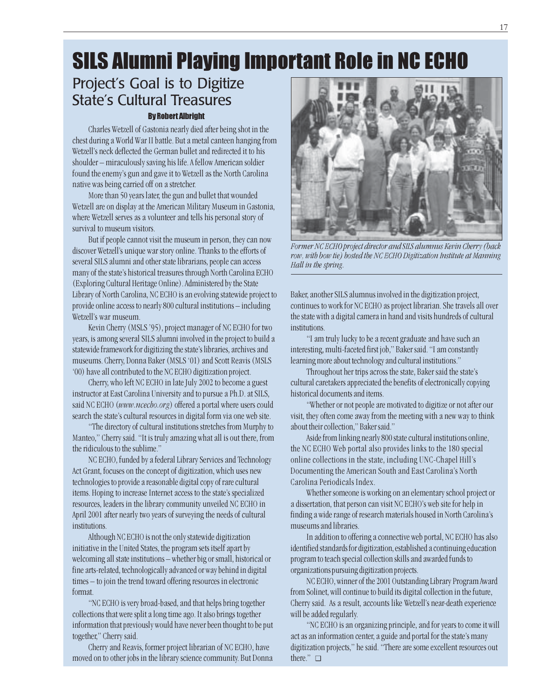# SILS Alumni Playing Important Role in NC ECHO

## By Robert Albright Project's Goal is to Digitize State's Cultural Treasures

Charles Wetzell of Gastonia nearly died after being shot in the chest during a World War II battle. But a metal canteen hanging from Wetzell's neck deflected the German bullet and redirected it to his shoulder – miraculously saving his life. A fellow American soldier found the enemy's gun and gave it to Wetzell as the North Carolina native was being carried off on a stretcher.

More than 50 years later, the gun and bullet that wounded Wetzell are on display at the American Military Museum in Gastonia, where Wetzell serves as a volunteer and tells his personal story of survival to museum visitors.

But if people cannot visit the museum in person, they can now discover Wetzell's unique war story online. Thanks to the efforts of several SILS alumni and other state librarians, people can access many of the state's historical treasures through North Carolina ECHO (Exploring Cultural Heritage Online). Administered by the State Library of North Carolina, NC ECHO is an evolving statewide project to provide online access to nearly 800 cultural institutions – including Wetzell's war museum.

Kevin Cherry (MSLS '95), project manager of NC ECHO for two years, is among several SILS alumni involved in the project to build a statewide framework for digitizing the state's libraries, archives and museums. Cherry, Donna Baker (MSLS '01) and Scott Reavis (MSLS '00) have all contributed to the NC ECHO digitization project.

Cherry, who left NC ECHO in late July 2002 to become a guest instructor at East Carolina University and to pursue a Ph.D. at SILS, said NC ECHO (www.ncecho.org) offered a portal where users could search the state's cultural resources in digital form via one web site.

"The directory of cultural institutions stretches from Murphy to Manteo," Cherry said. "It is truly amazing what all is out there, from the ridiculous to the sublime."

NC ECHO, funded by a federal Library Services and Technology Act Grant, focuses on the concept of digitization, which uses new technologies to provide a reasonable digital copy of rare cultural items. Hoping to increase Internet access to the state's specialized resources, leaders in the library community unveiled NC ECHO in April 2001 after nearly two years of surveying the needs of cultural institutions.

Although NC ECHO is not the only statewide digitization initiative in the United States, the program sets itself apart by welcoming all state institutions – whether big or small, historical or fine arts-related, technologically advanced or way behind in digital times – to join the trend toward offering resources in electronic format.

"NC ECHO is very broad-based, and that helps bring together collections that were split a long time ago. It also brings together information that previously would have never been thought to be put together," Cherry said.

Cherry and Reavis, former project librarian of NC ECHO, have moved on to other jobs in the library science community. But Donna



Former NC ECHO project director and SILS alumnus Kevin Cherry (back row, with bow tie) hosted the NC ECHO Digitization Institute at Manning Hall in the spring.

Baker, another SILS alumnus involved in the digitization project, continues to work for NC ECHO as project librarian. She travels all over the state with a digital camera in hand and visits hundreds of cultural institutions.

"I am truly lucky to be a recent graduate and have such an interesting, multi-faceted first job," Baker said. "I am constantly learning more about technology and cultural institutions."

Throughout her trips across the state, Baker said the state's cultural caretakers appreciated the benefits of electronically copying historical documents and items.

"Whether or not people are motivated to digitize or not after our visit, they often come away from the meeting with a new way to think about their collection," Baker said."

Aside from linking nearly 800 state cultural institutions online, the NC ECHO Web portal also provides links to the 180 special online collections in the state, including UNC-Chapel Hill's Documenting the American South and East Carolina's North Carolina Periodicals Index.

Whether someone is working on an elementary school project or a dissertation, that person can visit NC ECHO's web site for help in finding a wide range of research materials housed in North Carolina's museums and libraries.

In addition to offering a connective web portal, NC ECHO has also identified standards for digitization, established a continuing education program to teach special collection skills and awarded funds to organizations pursuing digitization projects.

NC ECHO, winner of the 2001 Outstanding Library Program Award from Solinet, will continue to build its digital collection in the future, Cherry said. As a result, accounts like Wetzell's near-death experience will be added regularly.

"NC ECHO is an organizing principle, and for years to come it will act as an information center, a guide and portal for the state's many digitization projects," he said. "There are some excellent resources out there." ❑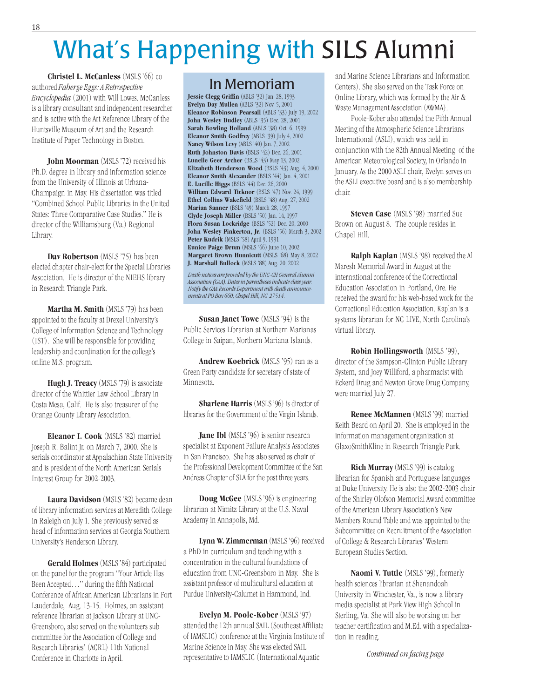# What's Happening with SILS Alumni

Christel L. McCanless (MSLS '66) coauthored Faberge Eggs: A Retrospective Encyclopedia (2001) with Will Lowes. McCanless is a library consultant and independent researcher and is active with the Art Reference Library of the Huntsville Museum of Art and the Research Institute of Paper Technology in Boston.

John Moorman (MSLS '72) received his Ph.D. degree in library and information science from the University of Illinois at Urbana-Champaign in May. His dissertation was titled "Combined School Public Libraries in the United States: Three Comparative Case Studies." He is director of the Williamsburg (Va.) Regional Library.

Dav Robertson (MSLS '75) has been elected chapter chair-elect for the Special Libraries Association. He is director of the NIEHS library in Research Triangle Park.

Martha M. Smith (MSLS '79) has been appointed to the faculty at Drexel University's College of Information Science and Technology (IST). She will be responsible for providing leadership and coordination for the college's online M.S. program.

Hugh J. Treacy (MSLS '79) is associate director of the Whittier Law School Library in Costa Mesa, Calif. He is also treasurer of the Orange County Library Association.

Eleanor I. Cook (MSLS '82) married Joseph R. Balint Jr. on March 7, 2000. She is serials coordinator at Appalachian State University and is president of the North American Serials Interest Group for 2002-2003.

Laura Davidson (MSLS '82) became dean of library information services at Meredith College in Raleigh on July 1. She previously served as head of information services at Georgia Southern University's Henderson Library.

Gerald Holmes (MSLS '84) participated on the panel for the program "Your Article Has Been Accepted…" during the fifth National Conference of African American Librarians in Fort Lauderdale, Aug. 13-15. Holmes, an assistant reference librarian at Jackson Library at UNC-Greensboro, also served on the volunteers subcommittee for the Association of College and Research Libraries' (ACRL) 11th National Conference in Charlotte in April.

## In Memoriam

Jessie Clegg Griffin (ABLS '32) Jan. 28, 1993 Evelyn Day Mullen (ABLS '32) Nov. 5, 2001 Eleanor Robinson Pearsall (ABLS '33) July 19, 2002 John Wesley Dudley (ABLS '35) Dec. 28, 2001 Sarah Bowling Holland (ABLS '38) Oct. 6, 1999 Eleanor Smith Godfrey (ABLS '39) July 4, 2002 Nancy Wilson Levy (ABLS '40) Jan. 7, 2002 Ruth Johnston Davis (BSLS '42) Dec. 26, 2001 Lunelle Geer Archer (BSLS '43) May 13, 2002 Elizabeth Henderson Wood (BSLS '43) Aug. 4, 2000 Eleanor Smith Alexander (BSLS '44) Jan. 4, 2001 E. Lucille Higgs (BSLS '44) Dec. 26, 2000 William Edward Ticknor (BSLS '47) Nov. 24, 1999 Ethel Collins Wakefield (BSLS '48) Aug. 27, 2002 Marian Sanner (BSLS '49) March 28, 1997 Clyde Joseph Miller (BSLS '50) Jan. 14, 1997 Flora Susan Lockridge (BSLS '52) Dec. 20, 2000 John Wesley Pinkerton, Jr. (BSLS '56) March 3, 2002 Peter Kudrik (MSLS '58) April 9, 1991 Eunice Paige Drum (MSLS '66) June 10, 2002 Margaret Brown Hunnicutt (MSLS '68) May 8, 2002 J. Marshall Bullock (MSLS '88) Aug. 20, 2002

Death notices are provided by the UNC-CH General Alumni Association (GAA). Dates in parentheses indicate class year. Notify the GAA Records Department with death announcements at PO Box 660; Chapel Hill, NC 27514.

Susan Janet Towe (MSLS '94) is the Public Services Librarian at Northern Marianas College in Saipan, Northern Mariana Islands.

Andrew Koebrick (MSLS '95) ran as a Green Party candidate for secretary of state of Minnesota.

Sharlene Harris (MSLS '96) is director of libraries for the Government of the Virgin Islands.

Jane Ibl (MSLS '96) is senior research specialist at Exponent Failure Analysis Associates in San Francisco. She has also served as chair of the Professional Development Committee of the San Andreas Chapter of SLA for the past three years.

Doug McGee (MSLS '96) is engineering librarian at Nimitz Library at the U.S. Naval Academy in Annapolis, Md.

Lynn W. Zimmerman (MSLS '96) received a PhD in curriculum and teaching with a concentration in the cultural foundations of education from UNC-Greensboro in May. She is assistant professor of multicultural education at Purdue University-Calumet in Hammond, Ind.

Evelyn M. Poole-Kober (MSLS '97) attended the 12th annual SAIL (Southeast Affiliate of IAMSLIC) conference at the Virginia Institute of Marine Science in May. She was elected SAIL representative to IAMSLIC (International Aquatic

and Marine Science Librarians and Information Centers). She also served on the Task Force on Online Library, which was formed by the Air & Waste Management Association (AWMA).

Poole-Kober also attended the Fifth Annual Meeting of the Atmospheric Science Librarians International (ASLI), which was held in conjunction with the 82th Annual Meeting of the American Meteorological Society, in Orlando in January. As the 2000 ASLI chair, Evelyn serves on the ASLI executive board and is also membership chair.

Steven Case (MSLS '98) married Sue Brown on August 8. The couple resides in Chapel Hill.

Ralph Kaplan (MSLS '98) received the Al Maresh Memorial Award in August at the international conference of the Correctional Education Association in Portland, Ore. He received the award for his web-based work for the Correctional Education Association. Kaplan is a systems librarian for NC LIVE, North Carolina's virtual library.

Robin Hollingsworth (MSLS '99), director of the Sampson-Clinton Public Library System, and Joey Williford, a pharmacist with Eckerd Drug and Newton Grove Drug Company, were married July 27.

Renee McMannen (MSLS '99) married Keith Beard on April 20. She is employed in the information management organization at GlaxoSmithKline in Research Triangle Park.

Rich Murray (MSLS '99) is catalog librarian for Spanish and Portuguese languages at Duke University. He is also the 2002-2003 chair of the Shirley Olofson Memorial Award committee of the American Library Association's New Members Round Table and was appointed to the Subcommittee on Recruitment of the Association of College & Research Libraries' Western European Studies Section.

Naomi V. Tuttle (MSLS '99), formerly health sciences librarian at Shenandoah University in Winchester, Va., is now a library media specialist at Park View High School in Sterling, Va. She will also be working on her teacher certification and M.Ed. with a specialization in reading.

Continued on facing page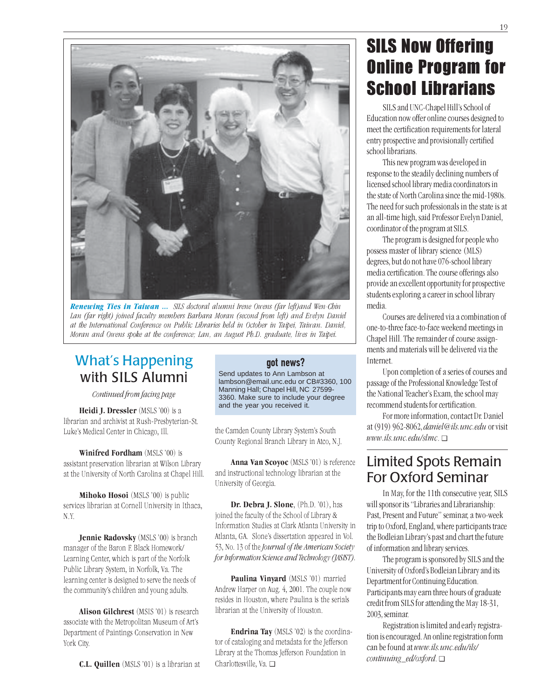

Renewing Ties in Taiwan ... SILS doctoral alumni Irene Owens (far left)and Wen-Chin Lan (far right) joined faculty members Barbara Moran (second from left) and Evelyn Daniel at the International Conference on Public Libraries held in October in Taipei, Taiwan. Daniel, Moran and Owens spoke at the conference; Lan, an August Ph.D. graduate, lives in Taipei.

## What's Happening with SILS Alumni

Continued from facing page

Heidi J. Dressler (MSLS '00) is a librarian and archivist at Rush-Presbyterian-St. Luke's Medical Center in Chicago, Ill.

Winifred Fordham (MSLS '00) is assistant preservation librarian at Wilson Library at the University of North Carolina at Chapel Hill.

Mihoko Hosoi (MSLS '00) is public services librarian at Cornell University in Ithaca, N.Y.

Jennie Radovsky (MSLS '00) is branch manager of the Baron F. Black Homework/ Learning Center, which is part of the Norfolk Public Library System, in Norfolk, Va. The learning center is designed to serve the needs of the community's children and young adults.

Alison Gilchrest (MSIS '01) is research associate with the Metropolitan Museum of Art's Department of Paintings Conservation in New York City.

C.L. Quillen (MSLS '01) is a librarian at

### got news?

Send updates to Ann Lambson at lambson@email.unc.edu or CB#3360, 100 Manning Hall; Chapel Hill, NC 27599- 3360. Make sure to include your degree and the year you received it.

the Camden County Library System's South County Regional Branch Library in Atco, N.J.

Anna Van Scoyoc (MSLS '01) is reference and instructional technology librarian at the University of Georgia.

Dr. Debra J. Slone, (Ph.D. '01), has joined the faculty of the School of Library & Information Studies at Clark Atlanta University in Atlanta, GA. Slone's dissertation appeared in Vol. 53, No. 13 of the Journal of the American Society for Information Science and Technology (JASIST).

Paulina Vinyard (MSLS '01) married Andrew Harper on Aug. 4, 2001. The couple now resides in Houston, where Paulina is the serials librarian at the University of Houston.

Endrina Tay (MSLS '02) is the coordinator of cataloging and metadata for the Jefferson Library at the Thomas Jefferson Foundation in Charlottesville, Va. ❑

# SILS Now Offering Online Program for School Librarians

SILS and UNC-Chapel Hill's School of Education now offer online courses designed to meet the certification requirements for lateral entry prospective and provisionally certified school librarians.

This new program was developed in response to the steadily declining numbers of licensed school library media coordinators in the state of North Carolina since the mid-1980s. The need for such professionals in the state is at an all-time high, said Professor Evelyn Daniel, coordinator of the program at SILS.

The program is designed for people who possess master of library science (MLS) degrees, but do not have 076-school library media certification. The course offerings also provide an excellent opportunity for prospective students exploring a career in school library media.

Courses are delivered via a combination of one-to-three face-to-face weekend meetings in Chapel Hill. The remainder of course assignments and materials will be delivered via the Internet.

Upon completion of a series of courses and passage of the Professional Knowledge Test of the National Teacher's Exam, the school may recommend students for certification.

For more information, contact Dr. Daniel at (919) 962-8062, daniel@ils.unc.edu or visit www.ils.unc.edu/slmc. ❑

## Limited Spots Remain For Oxford Seminar

In May, for the 11th consecutive year, SILS will sponsor its "Libraries and Librarianship: Past, Present and Future" seminar, a two-week trip to Oxford, England, where participants trace the Bodleian Library's past and chart the future of information and library services.

The program is sponsored by SILS and the University of Oxford's Bodleian Library and its Department for Continuing Education. Participants may earn three hours of graduate credit from SILS for attending the May 18-31, 2003, seminar.

Registration is limited and early registration is encouraged. An online registration form can be found at www.ils.unc.edu/ils/ continuing\_ed/oxford. ❑